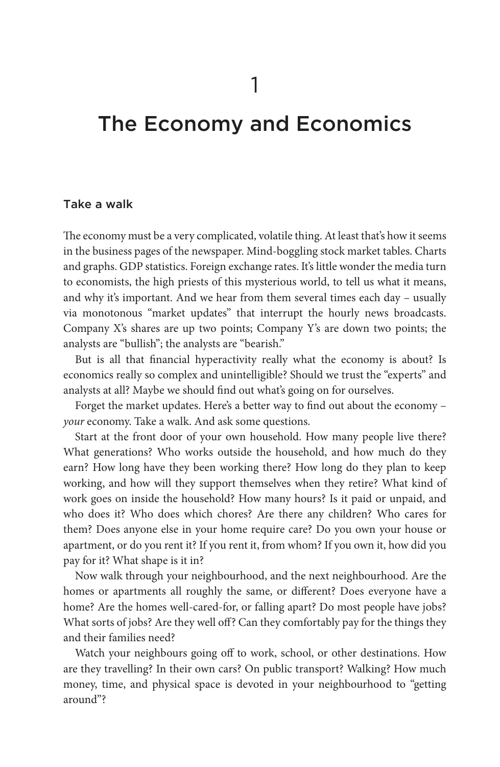1

# The Economy and Economics

#### Take a walk

The economy must be a very complicated, volatile thing. At least that's how it seems in the business pages of the newspaper. Mind-boggling stock market tables. Charts and graphs. GDP statistics. Foreign exchange rates. It's little wonder the media turn to economists, the high priests of this mysterious world, to tell us what it means, and why it's important. And we hear from them several times each day – usually via monotonous "market updates" that interrupt the hourly news broadcasts. Company X's shares are up two points; Company Y's are down two points; the analysts are "bullish"; the analysts are "bearish."

But is all that financial hyperactivity really what the economy is about? Is economics really so complex and unintelligible? Should we trust the "experts" and analysts at all? Maybe we should find out what's going on for ourselves.

Forget the market updates. Here's a better way to find out about the economy – *your* economy. Take a walk. And ask some questions.

Start at the front door of your own household. How many people live there? What generations? Who works outside the household, and how much do they earn? How long have they been working there? How long do they plan to keep working, and how will they support themselves when they retire? What kind of work goes on inside the household? How many hours? Is it paid or unpaid, and who does it? Who does which chores? Are there any children? Who cares for them? Does anyone else in your home require care? Do you own your house or apartment, or do you rent it? If you rent it, from whom? If you own it, how did you pay for it? What shape is it in?

Now walk through your neighbourhood, and the next neighbourhood. Are the homes or apartments all roughly the same, or different? Does everyone have a home? Are the homes well-cared-for, or falling apart? Do most people have jobs? What sorts of jobs? Are they well off? Can they comfortably pay for the things they and their families need?

Watch your neighbours going off to work, school, or other destinations. How are they travelling? In their own cars? On public transport? Walking? How much money, time, and physical space is devoted in your neighbourhood to "getting around"?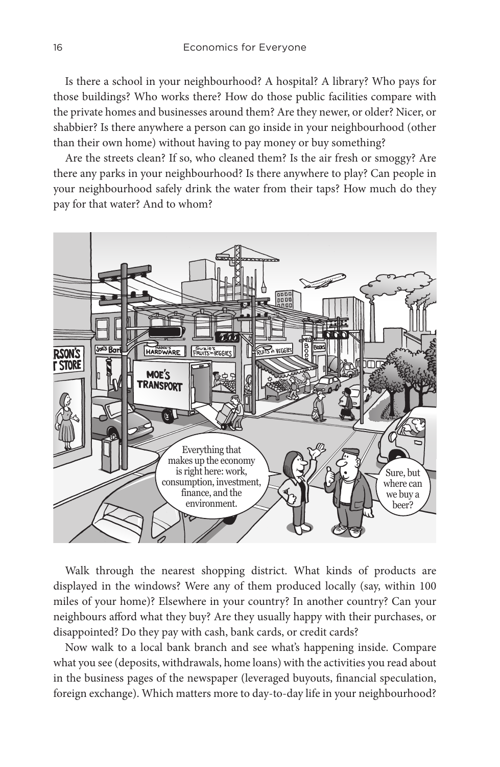Is there a school in your neighbourhood? A hospital? A library? Who pays for those buildings? Who works there? How do those public facilities compare with the private homes and businesses around them? Are they newer, or older? Nicer, or shabbier? Is there anywhere a person can go inside in your neighbourhood (other than their own home) without having to pay money or buy something?

Are the streets clean? If so, who cleaned them? Is the air fresh or smoggy? Are there any parks in your neighbourhood? Is there anywhere to play? Can people in your neighbourhood safely drink the water from their taps? How much do they pay for that water? And to whom?



Walk through the nearest shopping district. What kinds of products are displayed in the windows? Were any of them produced locally (say, within 100 miles of your home)? Elsewhere in your country? In another country? Can your neighbours afford what they buy? Are they usually happy with their purchases, or disappointed? Do they pay with cash, bank cards, or credit cards?

Now walk to a local bank branch and see what's happening inside. Compare what you see (deposits, withdrawals, home loans) with the activities you read about in the business pages of the newspaper (leveraged buyouts, financial speculation, foreign exchange). Which matters more to day-to-day life in your neighbourhood?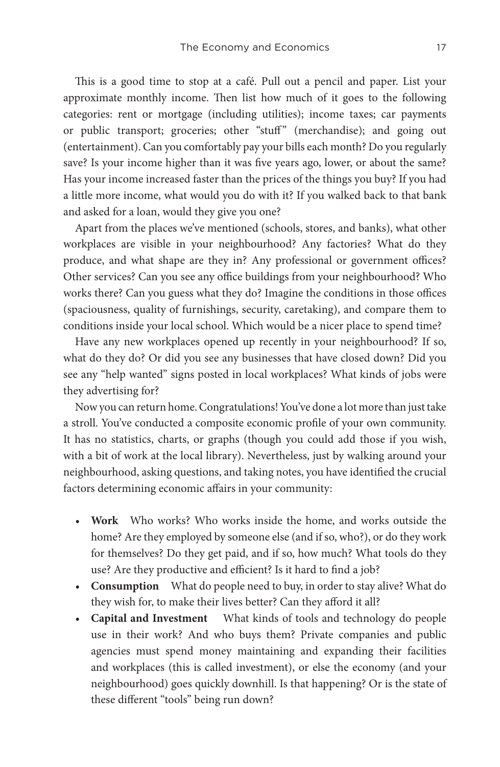This is a good time to stop at a café. Pull out a pencil and paper. List your approximate monthly income. Then list how much of it goes to the following categories: rent or mortgage (including utilities); income taxes; car payments or public transport; groceries; other "stuff" (merchandise); and going out (entertainment). Can you comfortably pay your bills each month? Do you regularly save? Is your income higher than it was five years ago, lower, or about the same? Has your income increased faster than the prices of the things you buy? If you had a little more income, what would you do with it? If you walked back to that bank and asked for a loan, would they give you one?

Apart from the places we've mentioned (schools, stores, and banks), what other workplaces are visible in your neighbourhood? Any factories? What do they produce, and what shape are they in? Any professional or government offices? Other services? Can you see any office buildings from your neighbourhood? Who works there? Can you guess what they do? Imagine the conditions in those offices (spaciousness, quality of furnishings, security, caretaking), and compare them to conditions inside your local school. Which would be a nicer place to spend time?

Have any new workplaces opened up recently in your neighbourhood? If so, what do they do? Or did you see any businesses that have closed down? Did you see any "help wanted" signs posted in local workplaces? What kinds of jobs were they advertising for?

Now you can return home. Congratulations! You've done a lot more than just take a stroll. You've conducted a composite economic profile of your own community. It has no statistics, charts, or graphs (though you could add those if you wish, with a bit of work at the local library). Nevertheless, just by walking around your neighbourhood, asking questions, and taking notes, you have identified the crucial factors determining economic affairs in your community:

- **Work** Who works? Who works inside the home, and works outside the home? Are they employed by someone else (and if so, who?), or do they work for themselves? Do they get paid, and if so, how much? What tools do they use? Are they productive and efficient? Is it hard to find a job?
- • **Consumption** What do people need to buy, in order to stay alive? What do they wish for, to make their lives better? Can they afford it all?
- • **Capital and Investment** What kinds of tools and technology do people use in their work? And who buys them? Private companies and public agencies must spend money maintaining and expanding their facilities and workplaces (this is called investment), or else the economy (and your neighbourhood) goes quickly downhill. Is that happening? Or is the state of these different "tools" being run down?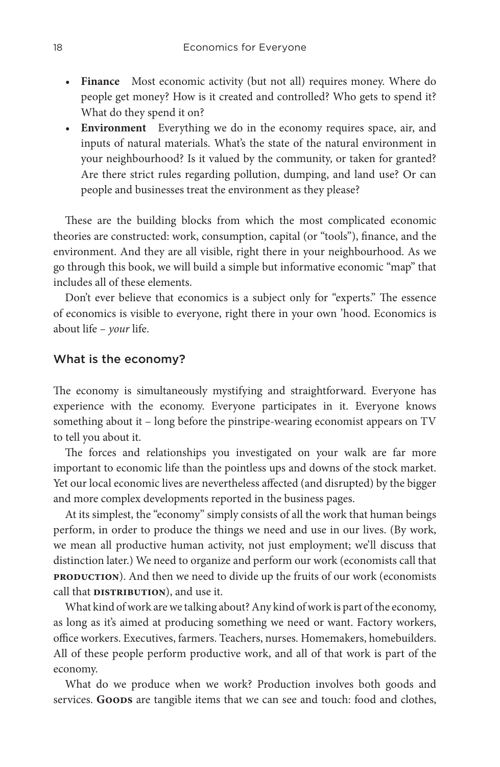- • **Finance** Most economic activity (but not all) requires money. Where do people get money? How is it created and controlled? Who gets to spend it? What do they spend it on?
- • **Environment** Everything we do in the economy requires space, air, and inputs of natural materials. What's the state of the natural environment in your neighbourhood? Is it valued by the community, or taken for granted? Are there strict rules regarding pollution, dumping, and land use? Or can people and businesses treat the environment as they please?

These are the building blocks from which the most complicated economic theories are constructed: work, consumption, capital (or "tools"), finance, and the environment. And they are all visible, right there in your neighbourhood. As we go through this book, we will build a simple but informative economic "map" that includes all of these elements.

Don't ever believe that economics is a subject only for "experts." The essence of economics is visible to everyone, right there in your own 'hood. Economics is about life – *your* life.

## What is the economy?

The economy is simultaneously mystifying and straightforward. Everyone has experience with the economy. Everyone participates in it. Everyone knows something about it – long before the pinstripe-wearing economist appears on TV to tell you about it.

The forces and relationships you investigated on your walk are far more important to economic life than the pointless ups and downs of the stock market. Yet our local economic lives are nevertheless affected (and disrupted) by the bigger and more complex developments reported in the business pages.

At its simplest, the "economy" simply consists of all the work that human beings perform, in order to produce the things we need and use in our lives. (By work, we mean all productive human activity, not just employment; we'll discuss that distinction later.) We need to organize and perform our work (economists call that **PRODUCTION**). And then we need to divide up the fruits of our work (economists call that **DISTRIBUTION**), and use it.

What kind of work are we talking about? Any kind of work is part of the economy, as long as it's aimed at producing something we need or want. Factory workers, office workers. Executives, farmers. Teachers, nurses. Homemakers, homebuilders. All of these people perform productive work, and all of that work is part of the economy.

What do we produce when we work? Production involves both goods and services. Goods are tangible items that we can see and touch: food and clothes,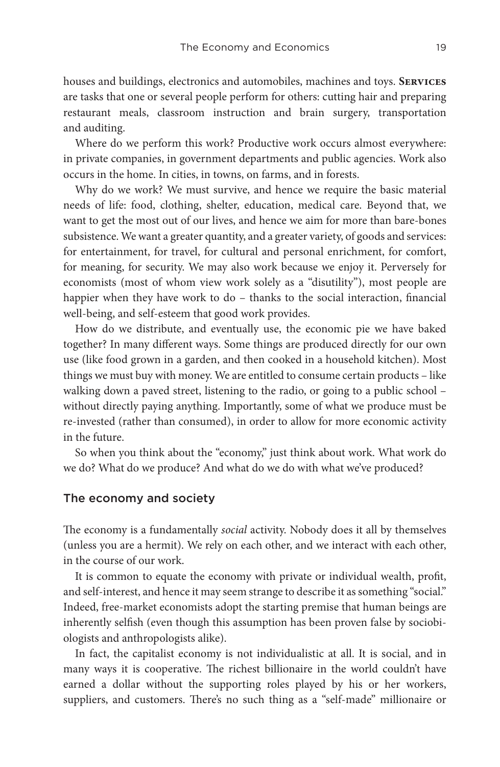houses and buildings, electronics and automobiles, machines and toys. **Services** are tasks that one or several people perform for others: cutting hair and preparing restaurant meals, classroom instruction and brain surgery, transportation and auditing.

Where do we perform this work? Productive work occurs almost everywhere: in private companies, in government departments and public agencies. Work also occurs in the home. In cities, in towns, on farms, and in forests.

Why do we work? We must survive, and hence we require the basic material needs of life: food, clothing, shelter, education, medical care. Beyond that, we want to get the most out of our lives, and hence we aim for more than bare-bones subsistence. We want a greater quantity, and a greater variety, of goods and services: for entertainment, for travel, for cultural and personal enrichment, for comfort, for meaning, for security. We may also work because we enjoy it. Perversely for economists (most of whom view work solely as a "disutility"), most people are happier when they have work to do – thanks to the social interaction, financial well-being, and self-esteem that good work provides.

How do we distribute, and eventually use, the economic pie we have baked together? In many different ways. Some things are produced directly for our own use (like food grown in a garden, and then cooked in a household kitchen). Most things we must buy with money. We are entitled to consume certain products – like walking down a paved street, listening to the radio, or going to a public school – without directly paying anything. Importantly, some of what we produce must be re-invested (rather than consumed), in order to allow for more economic activity in the future.

So when you think about the "economy," just think about work. What work do we do? What do we produce? And what do we do with what we've produced?

#### The economy and society

The economy is a fundamentally *social* activity. Nobody does it all by themselves (unless you are a hermit). We rely on each other, and we interact with each other, in the course of our work.

It is common to equate the economy with private or individual wealth, profit, and self-interest, and hence it may seem strange to describe it as something "social." Indeed, free-market economists adopt the starting premise that human beings are inherently selfish (even though this assumption has been proven false by sociobiologists and anthropologists alike).

In fact, the capitalist economy is not individualistic at all. It is social, and in many ways it is cooperative. The richest billionaire in the world couldn't have earned a dollar without the supporting roles played by his or her workers, suppliers, and customers. There's no such thing as a "self-made" millionaire or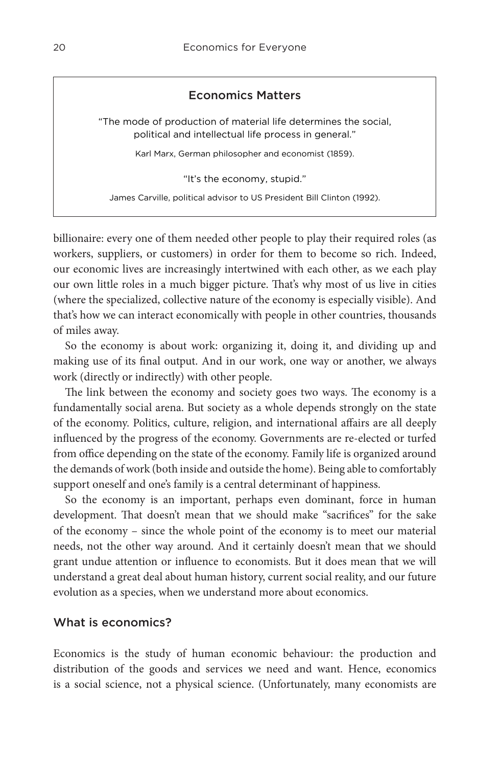## Economics Matters

"The mode of production of material life determines the social, political and intellectual life process in general."

Karl Marx, German philosopher and economist (1859).

"It's the economy, stupid."

James Carville, political advisor to US President Bill Clinton (1992).

billionaire: every one of them needed other people to play their required roles (as workers, suppliers, or customers) in order for them to become so rich. Indeed, our economic lives are increasingly intertwined with each other, as we each play our own little roles in a much bigger picture. That's why most of us live in cities (where the specialized, collective nature of the economy is especially visible). And that's how we can interact economically with people in other countries, thousands of miles away.

So the economy is about work: organizing it, doing it, and dividing up and making use of its final output. And in our work, one way or another, we always work (directly or indirectly) with other people.

The link between the economy and society goes two ways. The economy is a fundamentally social arena. But society as a whole depends strongly on the state of the economy. Politics, culture, religion, and international affairs are all deeply influenced by the progress of the economy. Governments are re-elected or turfed from office depending on the state of the economy. Family life is organized around the demands of work (both inside and outside the home). Being able to comfortably support oneself and one's family is a central determinant of happiness.

So the economy is an important, perhaps even dominant, force in human development. That doesn't mean that we should make "sacrifices" for the sake of the economy – since the whole point of the economy is to meet our material needs, not the other way around. And it certainly doesn't mean that we should grant undue attention or influence to economists. But it does mean that we will understand a great deal about human history, current social reality, and our future evolution as a species, when we understand more about economics.

### What is economics?

Economics is the study of human economic behaviour: the production and distribution of the goods and services we need and want. Hence, economics is a social science, not a physical science. (Unfortunately, many economists are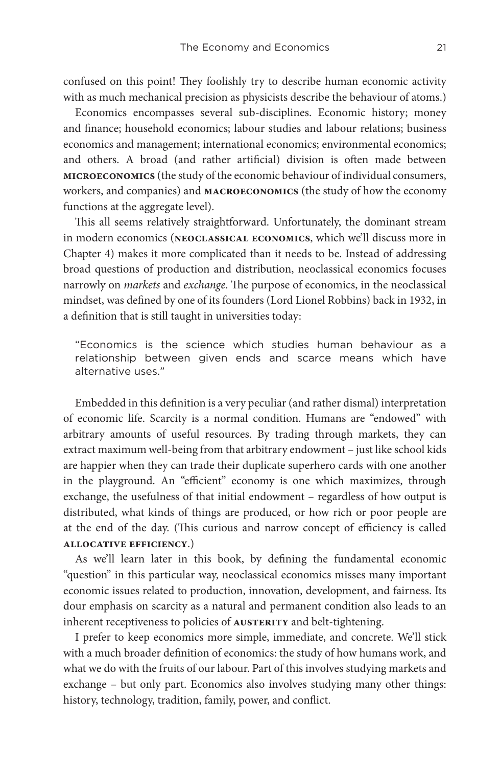confused on this point! They foolishly try to describe human economic activity with as much mechanical precision as physicists describe the behaviour of atoms.)

Economics encompasses several sub-disciplines. Economic history; money and finance; household economics; labour studies and labour relations; business economics and management; international economics; environmental economics; and others. A broad (and rather artificial) division is often made between **microeconomics** (the study of the economic behaviour of individual consumers, workers, and companies) and **macroeconomics** (the study of how the economy functions at the aggregate level).

This all seems relatively straightforward. Unfortunately, the dominant stream in modern economics (**neoclassical economics**, which we'll discuss more in Chapter 4) makes it more complicated than it needs to be. Instead of addressing broad questions of production and distribution, neoclassical economics focuses narrowly on *markets* and *exchange*. The purpose of economics, in the neoclassical mindset, was defined by one of its founders (Lord Lionel Robbins) back in 1932, in a definition that is still taught in universities today:

"Economics is the science which studies human behaviour as a relationship between given ends and scarce means which have alternative uses."

Embedded in this definition is a very peculiar (and rather dismal) interpretation of economic life. Scarcity is a normal condition. Humans are "endowed" with arbitrary amounts of useful resources. By trading through markets, they can extract maximum well-being from that arbitrary endowment – just like school kids are happier when they can trade their duplicate superhero cards with one another in the playground. An "efficient" economy is one which maximizes, through exchange, the usefulness of that initial endowment – regardless of how output is distributed, what kinds of things are produced, or how rich or poor people are at the end of the day. (This curious and narrow concept of efficiency is called **allocative efficiency**.)

As we'll learn later in this book, by defining the fundamental economic "question" in this particular way, neoclassical economics misses many important economic issues related to production, innovation, development, and fairness. Its dour emphasis on scarcity as a natural and permanent condition also leads to an inherent receptiveness to policies of **austerity** and belt-tightening.

I prefer to keep economics more simple, immediate, and concrete. We'll stick with a much broader definition of economics: the study of how humans work, and what we do with the fruits of our labour. Part of this involves studying markets and exchange – but only part. Economics also involves studying many other things: history, technology, tradition, family, power, and conflict.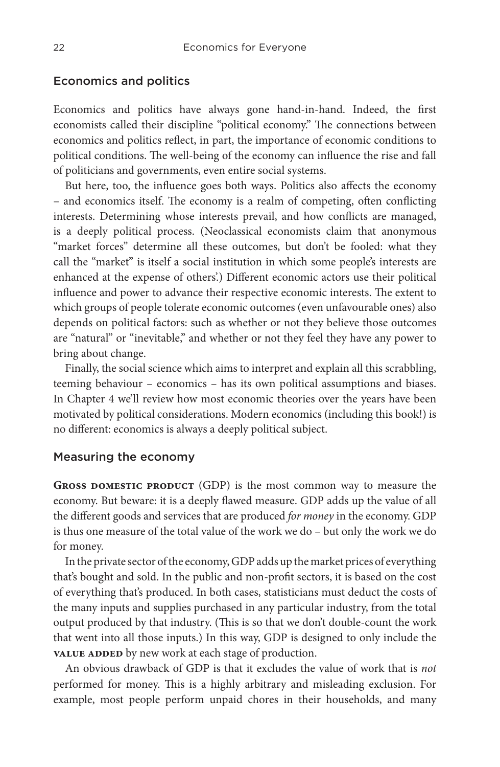#### Economics and politics

Economics and politics have always gone hand-in-hand. Indeed, the first economists called their discipline "political economy." The connections between economics and politics reflect, in part, the importance of economic conditions to political conditions. The well-being of the economy can influence the rise and fall of politicians and governments, even entire social systems.

But here, too, the influence goes both ways. Politics also affects the economy – and economics itself. The economy is a realm of competing, often conflicting interests. Determining whose interests prevail, and how conflicts are managed, is a deeply political process. (Neoclassical economists claim that anonymous "market forces" determine all these outcomes, but don't be fooled: what they call the "market" is itself a social institution in which some people's interests are enhanced at the expense of others'.) Different economic actors use their political influence and power to advance their respective economic interests. The extent to which groups of people tolerate economic outcomes (even unfavourable ones) also depends on political factors: such as whether or not they believe those outcomes are "natural" or "inevitable," and whether or not they feel they have any power to bring about change.

Finally, the social science which aims to interpret and explain all this scrabbling, teeming behaviour – economics – has its own political assumptions and biases. In Chapter 4 we'll review how most economic theories over the years have been motivated by political considerations. Modern economics (including this book!) is no different: economics is always a deeply political subject.

#### Measuring the economy

GROSS DOMESTIC PRODUCT (GDP) is the most common way to measure the economy. But beware: it is a deeply flawed measure. GDP adds up the value of all the different goods and services that are produced *for money* in the economy. GDP is thus one measure of the total value of the work we do – but only the work we do for money.

In the private sector of the economy, GDP adds up the market prices of everything that's bought and sold. In the public and non-profit sectors, it is based on the cost of everything that's produced. In both cases, statisticians must deduct the costs of the many inputs and supplies purchased in any particular industry, from the total output produced by that industry. (This is so that we don't double-count the work that went into all those inputs.) In this way, GDP is designed to only include the **value added** by new work at each stage of production.

An obvious drawback of GDP is that it excludes the value of work that is *not* performed for money. This is a highly arbitrary and misleading exclusion. For example, most people perform unpaid chores in their households, and many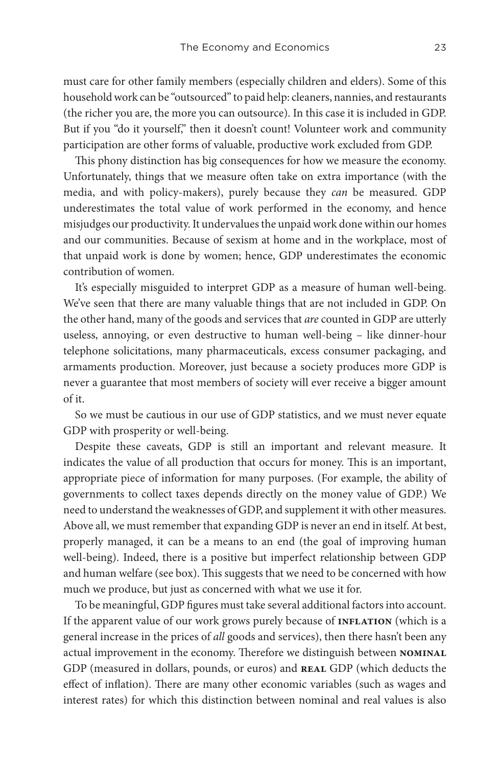must care for other family members (especially children and elders). Some of this household work can be "outsourced" to paid help: cleaners, nannies, and restaurants (the richer you are, the more you can outsource). In this case it is included in GDP. But if you "do it yourself," then it doesn't count! Volunteer work and community participation are other forms of valuable, productive work excluded from GDP.

This phony distinction has big consequences for how we measure the economy. Unfortunately, things that we measure often take on extra importance (with the media, and with policy-makers), purely because they *can* be measured. GDP underestimates the total value of work performed in the economy, and hence misjudges our productivity. It undervalues the unpaid work done within our homes and our communities. Because of sexism at home and in the workplace, most of that unpaid work is done by women; hence, GDP underestimates the economic contribution of women.

It's especially misguided to interpret GDP as a measure of human well-being. We've seen that there are many valuable things that are not included in GDP. On the other hand, many of the goods and services that *are* counted in GDP are utterly useless, annoying, or even destructive to human well-being – like dinner-hour telephone solicitations, many pharmaceuticals, excess consumer packaging, and armaments production. Moreover, just because a society produces more GDP is never a guarantee that most members of society will ever receive a bigger amount of it.

So we must be cautious in our use of GDP statistics, and we must never equate GDP with prosperity or well-being.

Despite these caveats, GDP is still an important and relevant measure. It indicates the value of all production that occurs for money. This is an important, appropriate piece of information for many purposes. (For example, the ability of governments to collect taxes depends directly on the money value of GDP.) We need to understand the weaknesses of GDP, and supplement it with other measures. Above all, we must remember that expanding GDP is never an end in itself. At best, properly managed, it can be a means to an end (the goal of improving human well-being). Indeed, there is a positive but imperfect relationship between GDP and human welfare (see box). This suggests that we need to be concerned with how much we produce, but just as concerned with what we use it for.

To be meaningful, GDP figures must take several additional factors into account. If the apparent value of our work grows purely because of **INFLATION** (which is a general increase in the prices of *all* goods and services), then there hasn't been any actual improvement in the economy. Therefore we distinguish between **nominal** GDP (measured in dollars, pounds, or euros) and **real** GDP (which deducts the effect of inflation). There are many other economic variables (such as wages and interest rates) for which this distinction between nominal and real values is also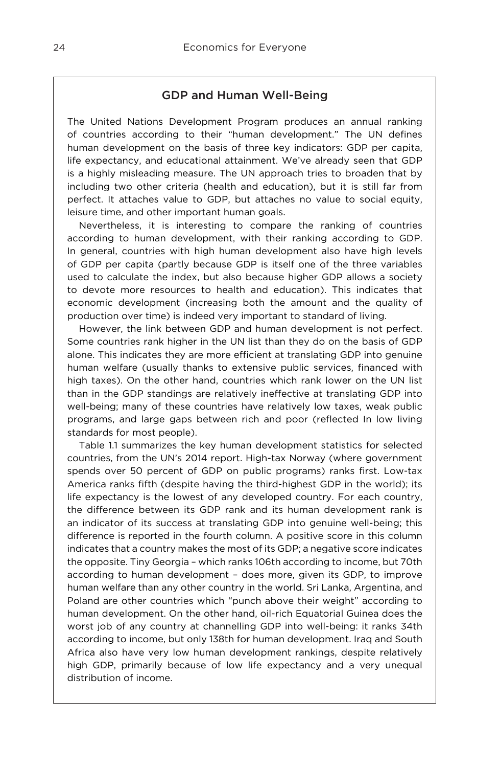# GDP and Human Well-Being

The United Nations Development Program produces an annual ranking of countries according to their "human development." The UN defines human development on the basis of three key indicators: GDP per capita, life expectancy, and educational attainment. We've already seen that GDP is a highly misleading measure. The UN approach tries to broaden that by including two other criteria (health and education), but it is still far from perfect. It attaches value to GDP, but attaches no value to social equity, leisure time, and other important human goals.

Nevertheless, it is interesting to compare the ranking of countries according to human development, with their ranking according to GDP. In general, countries with high human development also have high levels of GDP per capita (partly because GDP is itself one of the three variables used to calculate the index, but also because higher GDP allows a society to devote more resources to health and education). This indicates that economic development (increasing both the amount and the quality of production over time) is indeed very important to standard of living.

However, the link between GDP and human development is not perfect. Some countries rank higher in the UN list than they do on the basis of GDP alone. This indicates they are more efficient at translating GDP into genuine human welfare (usually thanks to extensive public services, financed with high taxes). On the other hand, countries which rank lower on the UN list than in the GDP standings are relatively ineffective at translating GDP into well-being; many of these countries have relatively low taxes, weak public programs, and large gaps between rich and poor (reflected In low living standards for most people).

Table 1.1 summarizes the key human development statistics for selected countries, from the UN's 2014 report. High-tax Norway (where government spends over 50 percent of GDP on public programs) ranks first. Low-tax America ranks fifth (despite having the third-highest GDP in the world); its life expectancy is the lowest of any developed country. For each country, the difference between its GDP rank and its human development rank is an indicator of its success at translating GDP into genuine well-being; this difference is reported in the fourth column. A positive score in this column indicates that a country makes the most of its GDP; a negative score indicates the opposite. Tiny Georgia – which ranks 106th according to income, but 70th according to human development – does more, given its GDP, to improve human welfare than any other country in the world. Sri Lanka, Argentina, and Poland are other countries which "punch above their weight" according to human development. On the other hand, oil-rich Equatorial Guinea does the worst job of any country at channelling GDP into well-being: it ranks 34th according to income, but only 138th for human development. Iraq and South Africa also have very low human development rankings, despite relatively high GDP, primarily because of low life expectancy and a very unequal distribution of income.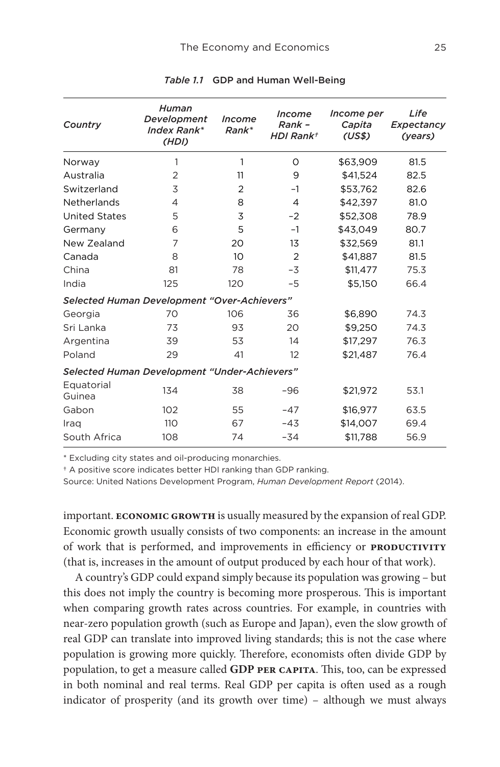| Country              | Human<br>Development<br>Index Rank*<br>(HDI) | <i>Income</i><br>Rank* | Income<br>Rank -<br>HDIRank <sup>†</sup> | Income per<br>Capita<br>(USS) | Life<br>Expectancy<br>(years) |
|----------------------|----------------------------------------------|------------------------|------------------------------------------|-------------------------------|-------------------------------|
| Norway               | 1                                            | 1                      | O                                        | \$63,909                      | 81.5                          |
| Australia            | $\overline{2}$                               | 11                     | 9                                        | \$41,524                      | 82.5                          |
| Switzerland          | 3                                            | 2                      | $-1$                                     | \$53,762                      | 82.6                          |
| Netherlands          | 4                                            | 8                      | 4                                        | \$42,397                      | 81.0                          |
| <b>United States</b> | 5                                            | 3                      | $-2$                                     | \$52,308                      | 78.9                          |
| Germany              | 6                                            | 5                      | $-1$                                     | \$43,049                      | 80.7                          |
| New Zealand          | 7                                            | 20                     | 13                                       | \$32,569                      | 81.1                          |
| Canada               | 8                                            | 10                     | $\overline{2}$                           | \$41.887                      | 81.5                          |
| China                | 81                                           | 78                     | $-3$                                     | \$11,477                      | 75.3                          |
| India                | 125                                          | 120                    | $-5$                                     | \$5,150                       | 66.4                          |
|                      | Selected Human Development "Over-Achievers"  |                        |                                          |                               |                               |
| Georgia              | 70                                           | 106                    | 36                                       | \$6,890                       | 74.3                          |
| Sri Lanka            | 73                                           | 93                     | 20                                       | \$9,250                       | 74.3                          |
| Argentina            | 39                                           | 53                     | 14                                       | \$17,297                      | 76.3                          |
| Poland               | 29                                           | 41                     | 12                                       | \$21,487                      | 76.4                          |
|                      | Selected Human Development "Under-Achievers" |                        |                                          |                               |                               |
| Equatorial<br>Guinea | 134                                          | 38                     | $-96$                                    | \$21,972                      | 53.1                          |
| Gabon                | 102                                          | 55                     | $-47$                                    | \$16,977                      | 63.5                          |
| Iraq                 | 110                                          | 67                     | $-43$                                    | \$14,007                      | 69.4                          |
| South Africa         | 108                                          | 74                     | $-34$                                    | \$11,788                      | 56.9                          |

\* Excluding city states and oil-producing monarchies.

† A positive score indicates better HDI ranking than GDP ranking.

Source: United Nations Development Program, *Human Development Report* (2014).

important. **economic growth** is usually measured by the expansion of real GDP. Economic growth usually consists of two components: an increase in the amount of work that is performed, and improvements in efficiency or **productivity** (that is, increases in the amount of output produced by each hour of that work).

A country's GDP could expand simply because its population was growing – but this does not imply the country is becoming more prosperous. This is important when comparing growth rates across countries. For example, in countries with near-zero population growth (such as Europe and Japan), even the slow growth of real GDP can translate into improved living standards; this is not the case where population is growing more quickly. Therefore, economists often divide GDP by population, to get a measure called **GDP per capita**. This, too, can be expressed in both nominal and real terms. Real GDP per capita is often used as a rough indicator of prosperity (and its growth over time) – although we must always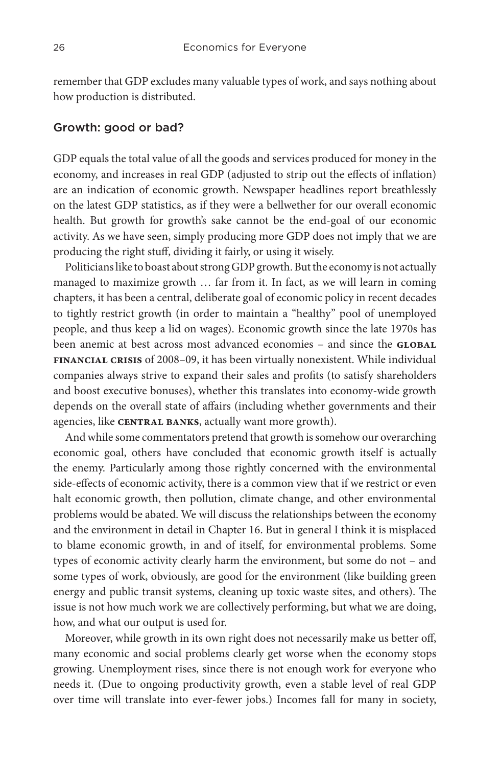remember that GDP excludes many valuable types of work, and says nothing about how production is distributed.

#### Growth: good or bad?

GDP equals the total value of all the goods and services produced for money in the economy, and increases in real GDP (adjusted to strip out the effects of inflation) are an indication of economic growth. Newspaper headlines report breathlessly on the latest GDP statistics, as if they were a bellwether for our overall economic health. But growth for growth's sake cannot be the end-goal of our economic activity. As we have seen, simply producing more GDP does not imply that we are producing the right stuff, dividing it fairly, or using it wisely.

Politicians like to boast about strong GDP growth. But the economy is not actually managed to maximize growth … far from it. In fact, as we will learn in coming chapters, it has been a central, deliberate goal of economic policy in recent decades to tightly restrict growth (in order to maintain a "healthy" pool of unemployed people, and thus keep a lid on wages). Economic growth since the late 1970s has been anemic at best across most advanced economies – and since the **global financial crisis** of 2008–09, it has been virtually nonexistent. While individual companies always strive to expand their sales and profits (to satisfy shareholders and boost executive bonuses), whether this translates into economy-wide growth depends on the overall state of affairs (including whether governments and their agencies, like **CENTRAL BANKS**, actually want more growth).

And while some commentators pretend that growth is somehow our overarching economic goal, others have concluded that economic growth itself is actually the enemy. Particularly among those rightly concerned with the environmental side-effects of economic activity, there is a common view that if we restrict or even halt economic growth, then pollution, climate change, and other environmental problems would be abated. We will discuss the relationships between the economy and the environment in detail in Chapter 16. But in general I think it is misplaced to blame economic growth, in and of itself, for environmental problems. Some types of economic activity clearly harm the environment, but some do not – and some types of work, obviously, are good for the environment (like building green energy and public transit systems, cleaning up toxic waste sites, and others). The issue is not how much work we are collectively performing, but what we are doing, how, and what our output is used for.

Moreover, while growth in its own right does not necessarily make us better off, many economic and social problems clearly get worse when the economy stops growing. Unemployment rises, since there is not enough work for everyone who needs it. (Due to ongoing productivity growth, even a stable level of real GDP over time will translate into ever-fewer jobs.) Incomes fall for many in society,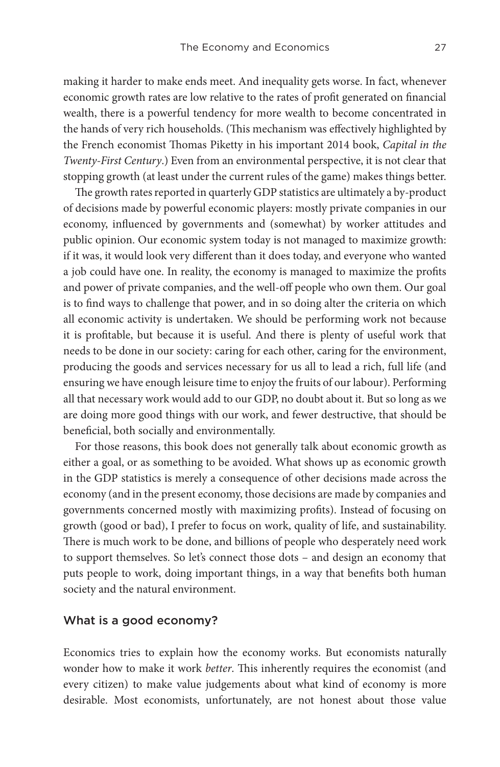making it harder to make ends meet. And inequality gets worse. In fact, whenever economic growth rates are low relative to the rates of profit generated on financial wealth, there is a powerful tendency for more wealth to become concentrated in the hands of very rich households. (This mechanism was effectively highlighted by the French economist Thomas Piketty in his important 2014 book, *Capital in the Twenty-First Century*.) Even from an environmental perspective, it is not clear that stopping growth (at least under the current rules of the game) makes things better.

The growth rates reported in quarterly GDP statistics are ultimately a by-product of decisions made by powerful economic players: mostly private companies in our economy, influenced by governments and (somewhat) by worker attitudes and public opinion. Our economic system today is not managed to maximize growth: if it was, it would look very different than it does today, and everyone who wanted a job could have one. In reality, the economy is managed to maximize the profits and power of private companies, and the well-off people who own them. Our goal is to find ways to challenge that power, and in so doing alter the criteria on which all economic activity is undertaken. We should be performing work not because it is profitable, but because it is useful. And there is plenty of useful work that needs to be done in our society: caring for each other, caring for the environment, producing the goods and services necessary for us all to lead a rich, full life (and ensuring we have enough leisure time to enjoy the fruits of our labour). Performing all that necessary work would add to our GDP, no doubt about it. But so long as we are doing more good things with our work, and fewer destructive, that should be beneficial, both socially and environmentally.

For those reasons, this book does not generally talk about economic growth as either a goal, or as something to be avoided. What shows up as economic growth in the GDP statistics is merely a consequence of other decisions made across the economy (and in the present economy, those decisions are made by companies and governments concerned mostly with maximizing profits). Instead of focusing on growth (good or bad), I prefer to focus on work, quality of life, and sustainability. There is much work to be done, and billions of people who desperately need work to support themselves. So let's connect those dots – and design an economy that puts people to work, doing important things, in a way that benefits both human society and the natural environment.

#### What is a good economy?

Economics tries to explain how the economy works. But economists naturally wonder how to make it work *better*. This inherently requires the economist (and every citizen) to make value judgements about what kind of economy is more desirable. Most economists, unfortunately, are not honest about those value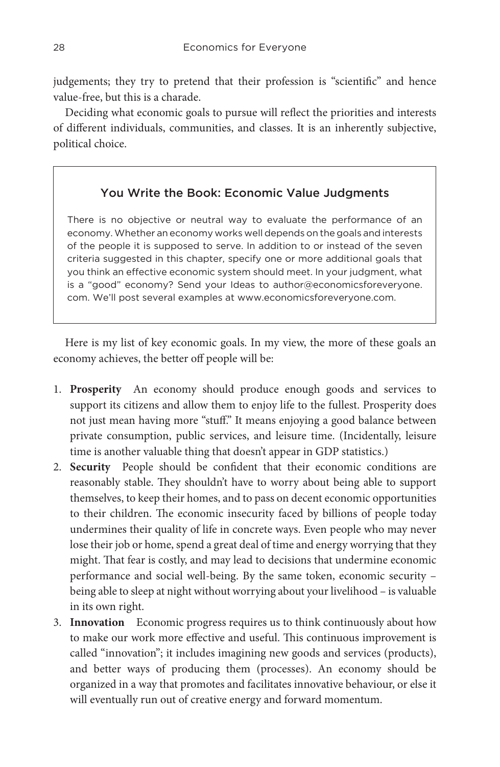judgements; they try to pretend that their profession is "scientific" and hence value-free, but this is a charade.

Deciding what economic goals to pursue will reflect the priorities and interests of different individuals, communities, and classes. It is an inherently subjective, political choice.

# You Write the Book: Economic Value Judgments

There is no objective or neutral way to evaluate the performance of an economy. Whether an economy works well depends on the goals and interests of the people it is supposed to serve. In addition to or instead of the seven criteria suggested in this chapter, specify one or more additional goals that you think an effective economic system should meet. In your judgment, what is a "good" economy? Send your Ideas to author@economicsforeveryone. com. We'll post several examples at www.economicsforeveryone.com.

Here is my list of key economic goals. In my view, the more of these goals an economy achieves, the better off people will be:

- 1. **Prosperity** An economy should produce enough goods and services to support its citizens and allow them to enjoy life to the fullest. Prosperity does not just mean having more "stuff." It means enjoying a good balance between private consumption, public services, and leisure time. (Incidentally, leisure time is another valuable thing that doesn't appear in GDP statistics.)
- 2. **Security** People should be confident that their economic conditions are reasonably stable. They shouldn't have to worry about being able to support themselves, to keep their homes, and to pass on decent economic opportunities to their children. The economic insecurity faced by billions of people today undermines their quality of life in concrete ways. Even people who may never lose their job or home, spend a great deal of time and energy worrying that they might. That fear is costly, and may lead to decisions that undermine economic performance and social well-being. By the same token, economic security – being able to sleep at night without worrying about your livelihood – is valuable in its own right.
- 3. **Innovation** Economic progress requires us to think continuously about how to make our work more effective and useful. This continuous improvement is called "innovation"; it includes imagining new goods and services (products), and better ways of producing them (processes). An economy should be organized in a way that promotes and facilitates innovative behaviour, or else it will eventually run out of creative energy and forward momentum.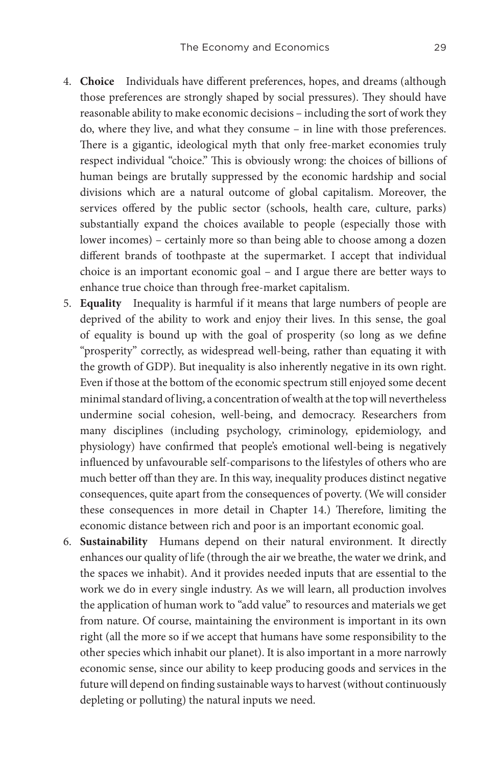- 4. **Choice** Individuals have different preferences, hopes, and dreams (although those preferences are strongly shaped by social pressures). They should have reasonable ability to make economic decisions – including the sort of work they do, where they live, and what they consume – in line with those preferences. There is a gigantic, ideological myth that only free-market economies truly respect individual "choice." This is obviously wrong: the choices of billions of human beings are brutally suppressed by the economic hardship and social divisions which are a natural outcome of global capitalism. Moreover, the services offered by the public sector (schools, health care, culture, parks) substantially expand the choices available to people (especially those with lower incomes) – certainly more so than being able to choose among a dozen different brands of toothpaste at the supermarket. I accept that individual choice is an important economic goal – and I argue there are better ways to enhance true choice than through free-market capitalism.
- 5. **Equality** Inequality is harmful if it means that large numbers of people are deprived of the ability to work and enjoy their lives. In this sense, the goal of equality is bound up with the goal of prosperity (so long as we define "prosperity" correctly, as widespread well-being, rather than equating it with the growth of GDP). But inequality is also inherently negative in its own right. Even if those at the bottom of the economic spectrum still enjoyed some decent minimal standard of living, a concentration of wealth at the top will nevertheless undermine social cohesion, well-being, and democracy. Researchers from many disciplines (including psychology, criminology, epidemiology, and physiology) have confirmed that people's emotional well-being is negatively influenced by unfavourable self-comparisons to the lifestyles of others who are much better off than they are. In this way, inequality produces distinct negative consequences, quite apart from the consequences of poverty. (We will consider these consequences in more detail in Chapter 14.) Therefore, limiting the economic distance between rich and poor is an important economic goal.
- 6. **Sustainability** Humans depend on their natural environment. It directly enhances our quality of life (through the air we breathe, the water we drink, and the spaces we inhabit). And it provides needed inputs that are essential to the work we do in every single industry. As we will learn, all production involves the application of human work to "add value" to resources and materials we get from nature. Of course, maintaining the environment is important in its own right (all the more so if we accept that humans have some responsibility to the other species which inhabit our planet). It is also important in a more narrowly economic sense, since our ability to keep producing goods and services in the future will depend on finding sustainable ways to harvest (without continuously depleting or polluting) the natural inputs we need.